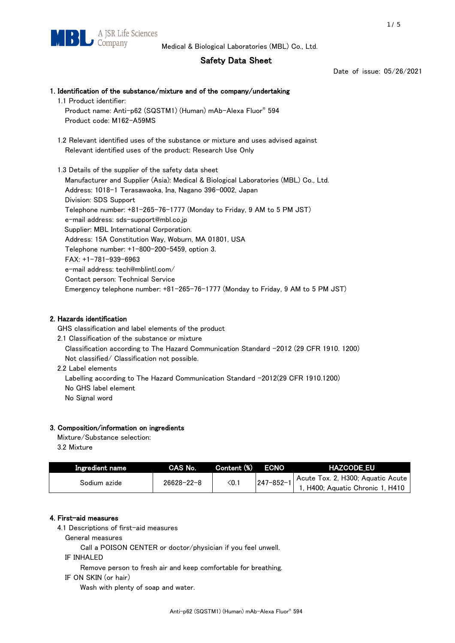# Safety Data Sheet

Date of issue: 05/26/2021

# 1. Identification of the substance/mixture and of the company/undertaking 1.1 Product identifier: Product name: Anti-p62 (SQSTM1) (Human) mAb-Alexa Fluor® 594 Product code: M162-A59MS 1.2 Relevant identified uses of the substance or mixture and uses advised against Relevant identified uses of the product: Research Use Only 1.3 Details of the supplier of the safety data sheet Manufacturer and Supplier (Asia): Medical & Biological Laboratories (MBL) Co., Ltd.

Address: 1018-1 Terasawaoka, Ina, Nagano 396-0002, Japan Division: SDS Support Telephone number: +81-265-76-1777 (Monday to Friday, 9 AM to 5 PM JST) e-mail address: sds-support@mbl.co.jp Supplier: MBL International Corporation. Address: 15A Constitution Way, Woburn, MA 01801, USA Telephone number: +1-800-200-5459, option 3. FAX: +1-781-939-6963 e-mail address: tech@mblintl.com/ Contact person: Technical Service Emergency telephone number: +81-265-76-1777 (Monday to Friday, 9 AM to 5 PM JST)

# 2. Hazards identification

GHS classification and label elements of the product

- 2.1 Classification of the substance or mixture Classification according to The Hazard Communication Standard -2012 (29 CFR 1910. 1200) Not classified/ Classification not possible.
- 2.2 Label elements

Labelling according to The Hazard Communication Standard -2012(29 CFR 1910.1200) No GHS label element No Signal word

# 3. Composition/information on ingredients

Mixture/Substance selection:  $2.2 M$ 

| 3.2 MIXTURE |  |
|-------------|--|
|             |  |
|             |  |

| Ingredient name | CAS No.          | Content (%) | <b>ECNO</b>     | <b>HAZCODE EU</b>                                                     |
|-----------------|------------------|-------------|-----------------|-----------------------------------------------------------------------|
| Sodium azide    | $26628 - 22 - 8$ | $\leq$ 0.1  | $247 - 852 - 1$ | Acute Tox. 2, H300; Aquatic Acute<br>1, H400; Aquatic Chronic 1, H410 |

# 4. First-aid measures

4.1 Descriptions of first-aid measures

General measures

Call a POISON CENTER or doctor/physician if you feel unwell.

IF INHALED

Remove person to fresh air and keep comfortable for breathing.

IF ON SKIN (or hair)

Wash with plenty of soap and water.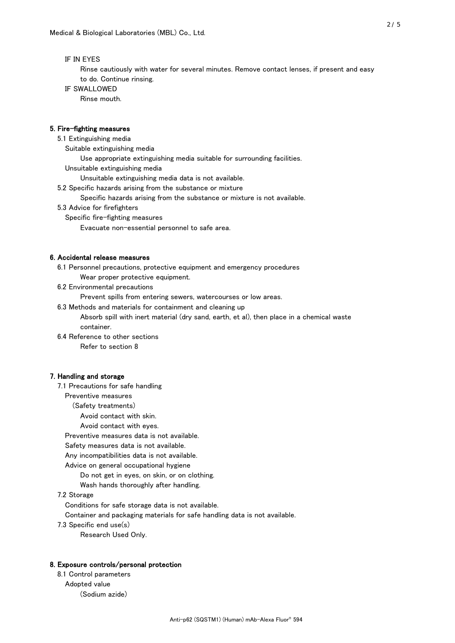## IF IN EYES

 Rinse cautiously with water for several minutes. Remove contact lenses, if present and easy to do. Continue rinsing.

IF SWALLOWED

Rinse mouth.

## 5. Fire-fighting measures

5.1 Extinguishing media

Suitable extinguishing media

Use appropriate extinguishing media suitable for surrounding facilities.

Unsuitable extinguishing media

Unsuitable extinguishing media data is not available.

5.2 Specific hazards arising from the substance or mixture

Specific hazards arising from the substance or mixture is not available.

- 5.3 Advice for firefighters
	- Specific fire-fighting measures
		- Evacuate non-essential personnel to safe area.

#### 6. Accidental release measures

6.1 Personnel precautions, protective equipment and emergency procedures

Wear proper protective equipment.

6.2 Environmental precautions

Prevent spills from entering sewers, watercourses or low areas.

6.3 Methods and materials for containment and cleaning up

 Absorb spill with inert material (dry sand, earth, et al), then place in a chemical waste container.

6.4 Reference to other sections

Refer to section 8

#### 7. Handling and storage

7.1 Precautions for safe handling

Preventive measures

(Safety treatments)

Avoid contact with skin.

Avoid contact with eyes.

Preventive measures data is not available.

Safety measures data is not available.

Any incompatibilities data is not available.

Advice on general occupational hygiene

Do not get in eyes, on skin, or on clothing.

Wash hands thoroughly after handling.

7.2 Storage

Conditions for safe storage data is not available.

Container and packaging materials for safe handling data is not available.

7.3 Specific end use(s)

Research Used Only.

## 8. Exposure controls/personal protection

 8.1 Control parameters Adopted value (Sodium azide)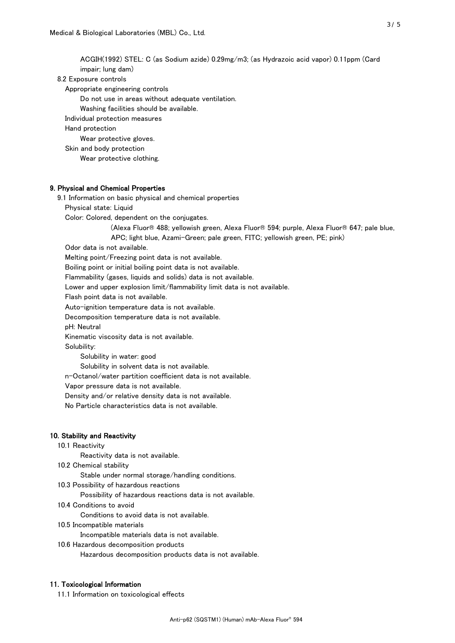ACGIH(1992) STEL: C (as Sodium azide) 0.29mg/m3; (as Hydrazoic acid vapor) 0.11ppm (Card impair; lung dam) 8.2 Exposure controls Appropriate engineering controls Do not use in areas without adequate ventilation. Washing facilities should be available. Individual protection measures Hand protection Wear protective gloves. Skin and body protection Wear protective clothing. 9. Physical and Chemical Properties 9.1 Information on basic physical and chemical properties Physical state: Liquid Color: Colored, dependent on the conjugates. (Alexa Fluor® 488; yellowish green, Alexa Fluor® 594; purple, Alexa Fluor® 647; pale blue, APC; light blue, Azami-Green; pale green, FITC; yellowish green, PE; pink) Odor data is not available. Melting point/Freezing point data is not available. Boiling point or initial boiling point data is not available. Flammability (gases, liquids and solids) data is not available. Lower and upper explosion limit/flammability limit data is not available. Flash point data is not available. Auto-ignition temperature data is not available.

Decomposition temperature data is not available.

pH: Neutral

Kinematic viscosity data is not available.

Solubility:

Solubility in water: good

Solubility in solvent data is not available.

n-Octanol/water partition coefficient data is not available.

Vapor pressure data is not available.

Density and/or relative density data is not available.

No Particle characteristics data is not available.

#### 10. Stability and Reactivity

10.1 Reactivity

Reactivity data is not available.

10.2 Chemical stability

Stable under normal storage/handling conditions.

10.3 Possibility of hazardous reactions

Possibility of hazardous reactions data is not available.

10.4 Conditions to avoid

Conditions to avoid data is not available.

10.5 Incompatible materials

Incompatible materials data is not available.

10.6 Hazardous decomposition products

Hazardous decomposition products data is not available.

## 11. Toxicological Information

11.1 Information on toxicological effects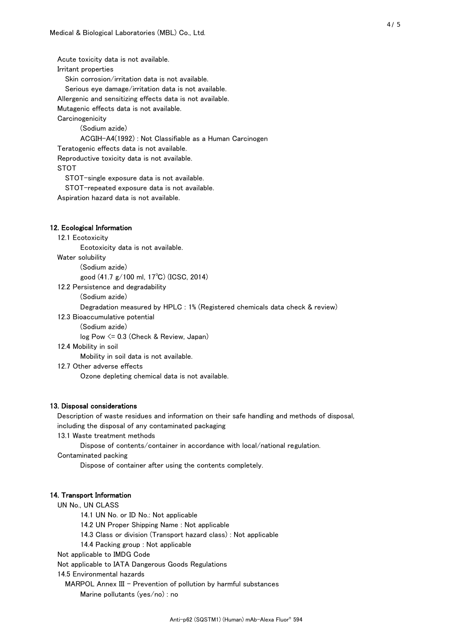Acute toxicity data is not available. Irritant properties Skin corrosion/irritation data is not available. Serious eye damage/irritation data is not available. Allergenic and sensitizing effects data is not available. Mutagenic effects data is not available. **Carcinogenicity**  (Sodium azide) ACGIH-A4(1992) : Not Classifiable as a Human Carcinogen Teratogenic effects data is not available. Reproductive toxicity data is not available. STOT STOT-single exposure data is not available. STOT-repeated exposure data is not available. Aspiration hazard data is not available.

#### 12. Ecological Information

#### 12.1 Ecotoxicity

Ecotoxicity data is not available.

Water solubility

(Sodium azide)

good (41.7 g/100 ml, 17℃) (ICSC, 2014)

12.2 Persistence and degradability

(Sodium azide)

Degradation measured by HPLC : 1% (Registered chemicals data check & review)

12.3 Bioaccumulative potential

(Sodium azide)

log Pow <= 0.3 (Check & Review, Japan)

12.4 Mobility in soil

Mobility in soil data is not available.

12.7 Other adverse effects

Ozone depleting chemical data is not available.

#### 13. Disposal considerations

 Description of waste residues and information on their safe handling and methods of disposal, including the disposal of any contaminated packaging

13.1 Waste treatment methods

Dispose of contents/container in accordance with local/national regulation.

Contaminated packing

Dispose of container after using the contents completely.

#### 14. Transport Information

UN No., UN CLASS

14.1 UN No. or ID No.: Not applicable

14.2 UN Proper Shipping Name : Not applicable

14.3 Class or division (Transport hazard class) : Not applicable

14.4 Packing group : Not applicable

Not applicable to IMDG Code

Not applicable to IATA Dangerous Goods Regulations

14.5 Environmental hazards

MARPOL Annex III - Prevention of pollution by harmful substances

Marine pollutants (yes/no) : no